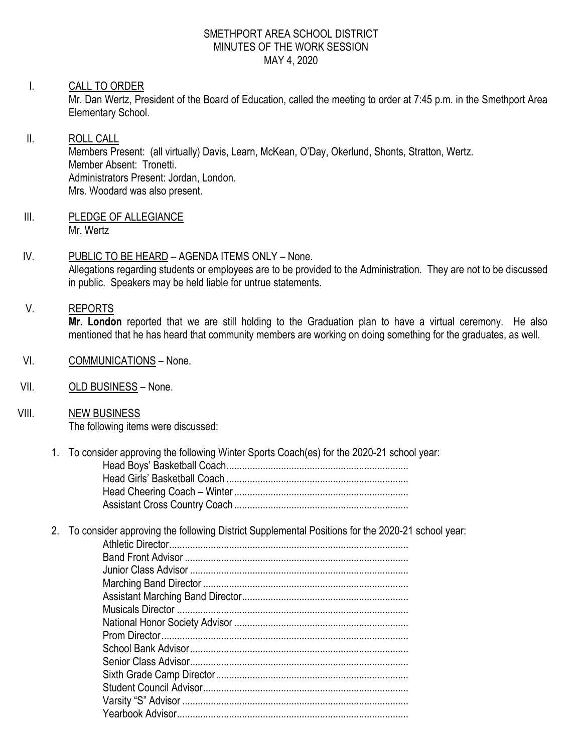### SMETHPORT AREA SCHOOL DISTRICT MINUTES OF THE WORK SESSION MAY 4, 2020

### I. CALL TO ORDER

Mr. Dan Wertz, President of the Board of Education, called the meeting to order at 7:45 p.m. in the Smethport Area Elementary School.

# II. ROLL CALL Members Present: (all virtually) Davis, Learn, McKean, O'Day, Okerlund, Shonts, Stratton, Wertz. Member Absent: Tronetti. Administrators Present: Jordan, London. Mrs. Woodard was also present.

III. PLEDGE OF ALLEGIANCE Mr. Wertz

## IV. PUBLIC TO BE HEARD – AGENDA ITEMS ONLY – None. Allegations regarding students or employees are to be provided to the Administration. They are not to be discussed in public. Speakers may be held liable for untrue statements.

### V. REPORTS

**Mr. London** reported that we are still holding to the Graduation plan to have a virtual ceremony. He also mentioned that he has heard that community members are working on doing something for the graduates, as well.

- VI. COMMUNICATIONS None.
- VII. OLD BUSINESS None.
- VIII. NEW BUSINESS The following items were discussed:
	- 1. To consider approving the following Winter Sports Coach(es) for the 2020-21 school year: Head Boys' Basketball Coach...................................................................... Head Girls' Basketball Coach ...................................................................... Head Cheering Coach – Winter................................................................... Assistant Cross Country Coach ...................................................................
	- 2. To consider approving the following District Supplemental Positions for the 2020-21 school year: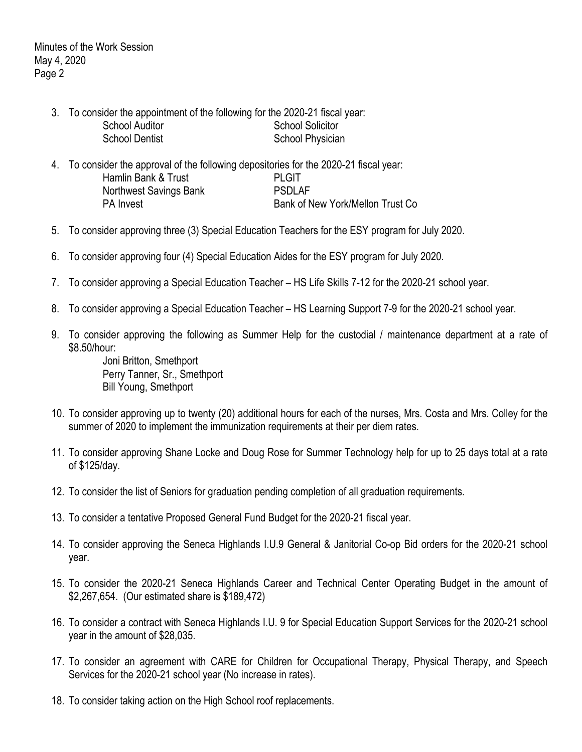- 3. To consider the appointment of the following for the 2020-21 fiscal year: School Auditor School Solicitor School Dentist School Physician
- 4. To consider the approval of the following depositories for the 2020-21 fiscal year: Hamlin Bank & Trust **PLGIT** Northwest Savings Bank **PSDLAF** PA Invest **PA Invest** Bank of New York/Mellon Trust Co
- 5. To consider approving three (3) Special Education Teachers for the ESY program for July 2020.
- 6. To consider approving four (4) Special Education Aides for the ESY program for July 2020.
- 7. To consider approving a Special Education Teacher HS Life Skills 7-12 for the 2020-21 school year.
- 8. To consider approving a Special Education Teacher HS Learning Support 7-9 for the 2020-21 school year.
- 9. To consider approving the following as Summer Help for the custodial / maintenance department at a rate of \$8.50/hour:

Joni Britton, Smethport Perry Tanner, Sr., Smethport Bill Young, Smethport

- 10. To consider approving up to twenty (20) additional hours for each of the nurses, Mrs. Costa and Mrs. Colley for the summer of 2020 to implement the immunization requirements at their per diem rates.
- 11. To consider approving Shane Locke and Doug Rose for Summer Technology help for up to 25 days total at a rate of \$125/day.
- 12. To consider the list of Seniors for graduation pending completion of all graduation requirements.
- 13. To consider a tentative Proposed General Fund Budget for the 2020-21 fiscal year.
- 14. To consider approving the Seneca Highlands I.U.9 General & Janitorial Co-op Bid orders for the 2020-21 school year.
- 15. To consider the 2020-21 Seneca Highlands Career and Technical Center Operating Budget in the amount of \$2,267,654. (Our estimated share is \$189,472)
- 16. To consider a contract with Seneca Highlands I.U. 9 for Special Education Support Services for the 2020-21 school year in the amount of \$28,035.
- 17. To consider an agreement with CARE for Children for Occupational Therapy, Physical Therapy, and Speech Services for the 2020-21 school year (No increase in rates).
- 18. To consider taking action on the High School roof replacements.